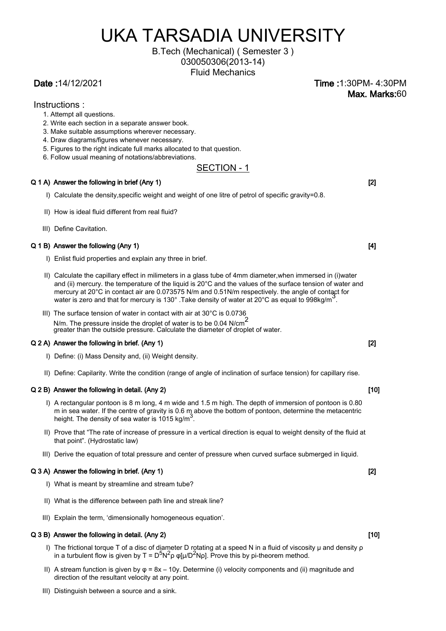# UKA TARSADIA UNIVERSITY

## B.Tech (Mechanical) ( Semester 3 )

030050306(2013-14)

Fluid Mechanics

Date :14/12/2021 Time :1:30PM- 4:30PM Max. Marks:60

### Instructions :

- 1. Attempt all questions.
- 2. Write each section in a separate answer book.
- 3. Make suitable assumptions wherever necessary.
- 4. Draw diagrams/figures whenever necessary.
- 5. Figures to the right indicate full marks allocated to that question.
- 6. Follow usual meaning of notations/abbreviations.

### SECTION - 1

### Q 1 A) Answer the following in brief (Any 1) **Example 2** and the state of the state of  $\vert$  (2) **[2] C** and  $\vert$  **21 C** and  $\vert$  **21 C** and  $\vert$  **21 C** and  $\vert$  **21 C** and  $\vert$  **21 C** and  $\vert$  **21 C** and  $\vert$

- I) Calculate the density,specific weight and weight of one litre of petrol of specific gravity=0.8.
- II) How is ideal fluid different from real fluid?
- III) Define Cavitation.

### Q 1 B) Answer the following (Any 1) **Contract the following (Any 1) Contract the following (Any 1) Contract the following (Any 1)**

- I) Enlist fluid properties and explain any three in brief.
- II) Calculate the capillary effect in milimeters in a glass tube of 4mm diameter,when immersed in (i)water and (ii) mercury. the temperature of the liquid is 20°C and the values of the surface tension of water and mercury at 20°C in contact air are 0.073575 N/m and 0.51N/m respectively. the angle of contact for water is zero and that for mercury is 130°. Take density of water at 20°C as equal to 998kg/m<sup>3</sup>.
- III) The surface tension of water in contact with air at 30°C is 0.0736 N/m. The pressure inside the droplet of water is to be 0.04 N/cm<sup>2</sup>

greater than the outside pressure. Calculate the diameter of droplet of water.

### Q 2 A) Answer the following in brief. (Any 1) **Example 2** and the following in brief. (Any 1)

- I) Define: (i) Mass Density and, (ii) Weight density.
- II) Define: Capilarity. Write the condition (range of angle of inclination of surface tension) for capillary rise.

### Q 2 B) Answer the following in detail. (Any 2) [10] [10] [10]

- I) A rectangular pontoon is 8 m long, 4 m wide and 1.5 m high. The depth of immersion of pontoon is 0.80 m in sea water. If the centre of gravity is 0.6 m above the bottom of pontoon, determine the metacentric height. The density of sea water is 1015 kg/m<sup>3</sup>.
- II) Prove that "The rate of increase of pressure in a vertical direction is equal to weight density of the fluid at that point". (Hydrostatic law)
- III) Derive the equation of total pressure and center of pressure when curved surface submerged in liquid.

### Q 3 A) Answer the following in brief. (Any 1) **Community**  $\blacksquare$  **Community**  $\blacksquare$  [2] **Community**  $\blacksquare$  [2] **Community**  $\blacksquare$  [2] **Community**  $\blacksquare$  [2] **Community**  $\blacksquare$  [2] **Community**  $\blacksquare$  [2] **Community**  $\blacksquare$

- I) What is meant by streamline and stream tube?
- II) What is the difference between path line and streak line?
- III) Explain the term, 'dimensionally homogeneous equation'.

#### Q 3 B) Answer the following in detail. (Any 2) [10] [10] [10]

- I) The frictional torque T of a disc of diameter D rotating at a speed N in a fluid of viscosity μ and density ρ in a turbulent flow is given by T =  $D^5N^2\rho \varphi[\mu/D^2N\rho]$ . Prove this by pi-theorem method.
- II) A stream function is given by  $φ = 8x 10y$ . Determine (i) velocity components and (ii) magnitude and direction of the resultant velocity at any point.
- III) Distinguish between a source and a sink.